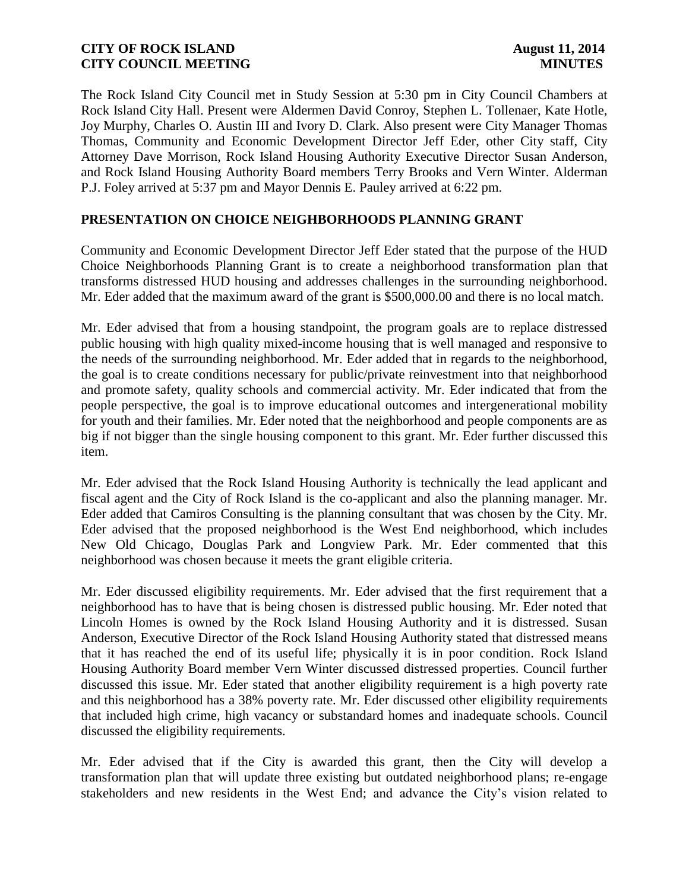The Rock Island City Council met in Study Session at 5:30 pm in City Council Chambers at Rock Island City Hall. Present were Aldermen David Conroy, Stephen L. Tollenaer, Kate Hotle, Joy Murphy, Charles O. Austin III and Ivory D. Clark. Also present were City Manager Thomas Thomas, Community and Economic Development Director Jeff Eder, other City staff, City Attorney Dave Morrison, Rock Island Housing Authority Executive Director Susan Anderson, and Rock Island Housing Authority Board members Terry Brooks and Vern Winter. Alderman P.J. Foley arrived at 5:37 pm and Mayor Dennis E. Pauley arrived at 6:22 pm.

### **PRESENTATION ON CHOICE NEIGHBORHOODS PLANNING GRANT**

Community and Economic Development Director Jeff Eder stated that the purpose of the HUD Choice Neighborhoods Planning Grant is to create a neighborhood transformation plan that transforms distressed HUD housing and addresses challenges in the surrounding neighborhood. Mr. Eder added that the maximum award of the grant is \$500,000.00 and there is no local match.

Mr. Eder advised that from a housing standpoint, the program goals are to replace distressed public housing with high quality mixed-income housing that is well managed and responsive to the needs of the surrounding neighborhood. Mr. Eder added that in regards to the neighborhood, the goal is to create conditions necessary for public/private reinvestment into that neighborhood and promote safety, quality schools and commercial activity. Mr. Eder indicated that from the people perspective, the goal is to improve educational outcomes and intergenerational mobility for youth and their families. Mr. Eder noted that the neighborhood and people components are as big if not bigger than the single housing component to this grant. Mr. Eder further discussed this item.

Mr. Eder advised that the Rock Island Housing Authority is technically the lead applicant and fiscal agent and the City of Rock Island is the co-applicant and also the planning manager. Mr. Eder added that Camiros Consulting is the planning consultant that was chosen by the City. Mr. Eder advised that the proposed neighborhood is the West End neighborhood, which includes New Old Chicago, Douglas Park and Longview Park. Mr. Eder commented that this neighborhood was chosen because it meets the grant eligible criteria.

Mr. Eder discussed eligibility requirements. Mr. Eder advised that the first requirement that a neighborhood has to have that is being chosen is distressed public housing. Mr. Eder noted that Lincoln Homes is owned by the Rock Island Housing Authority and it is distressed. Susan Anderson, Executive Director of the Rock Island Housing Authority stated that distressed means that it has reached the end of its useful life; physically it is in poor condition. Rock Island Housing Authority Board member Vern Winter discussed distressed properties. Council further discussed this issue. Mr. Eder stated that another eligibility requirement is a high poverty rate and this neighborhood has a 38% poverty rate. Mr. Eder discussed other eligibility requirements that included high crime, high vacancy or substandard homes and inadequate schools. Council discussed the eligibility requirements.

Mr. Eder advised that if the City is awarded this grant, then the City will develop a transformation plan that will update three existing but outdated neighborhood plans; re-engage stakeholders and new residents in the West End; and advance the City's vision related to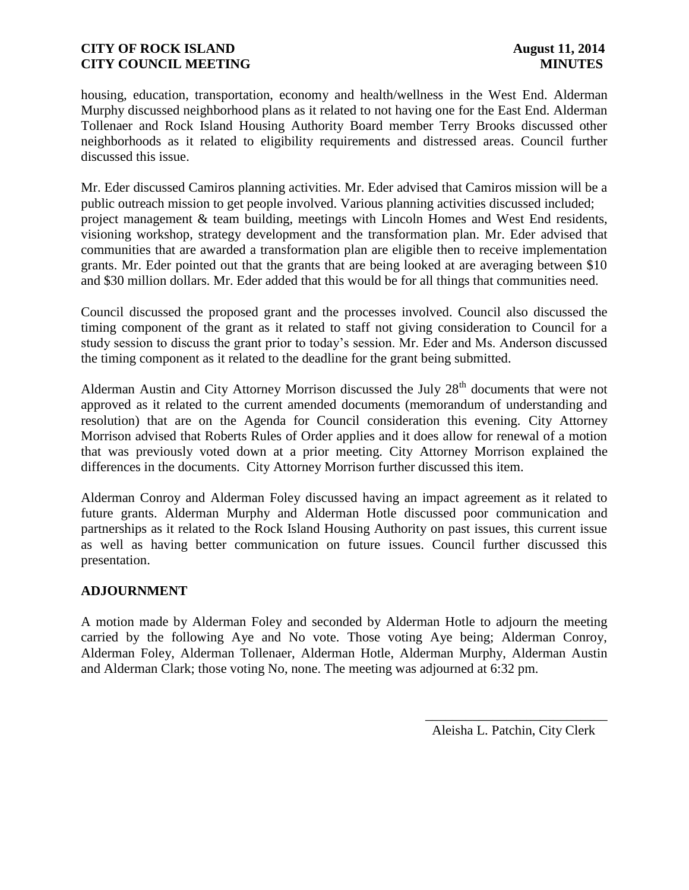housing, education, transportation, economy and health/wellness in the West End. Alderman Murphy discussed neighborhood plans as it related to not having one for the East End. Alderman Tollenaer and Rock Island Housing Authority Board member Terry Brooks discussed other neighborhoods as it related to eligibility requirements and distressed areas. Council further discussed this issue.

Mr. Eder discussed Camiros planning activities. Mr. Eder advised that Camiros mission will be a public outreach mission to get people involved. Various planning activities discussed included; project management & team building, meetings with Lincoln Homes and West End residents, visioning workshop, strategy development and the transformation plan. Mr. Eder advised that communities that are awarded a transformation plan are eligible then to receive implementation grants. Mr. Eder pointed out that the grants that are being looked at are averaging between \$10 and \$30 million dollars. Mr. Eder added that this would be for all things that communities need.

Council discussed the proposed grant and the processes involved. Council also discussed the timing component of the grant as it related to staff not giving consideration to Council for a study session to discuss the grant prior to today's session. Mr. Eder and Ms. Anderson discussed the timing component as it related to the deadline for the grant being submitted.

Alderman Austin and City Attorney Morrison discussed the July  $28<sup>th</sup>$  documents that were not approved as it related to the current amended documents (memorandum of understanding and resolution) that are on the Agenda for Council consideration this evening. City Attorney Morrison advised that Roberts Rules of Order applies and it does allow for renewal of a motion that was previously voted down at a prior meeting. City Attorney Morrison explained the differences in the documents. City Attorney Morrison further discussed this item.

Alderman Conroy and Alderman Foley discussed having an impact agreement as it related to future grants. Alderman Murphy and Alderman Hotle discussed poor communication and partnerships as it related to the Rock Island Housing Authority on past issues, this current issue as well as having better communication on future issues. Council further discussed this presentation.

#### **ADJOURNMENT**

A motion made by Alderman Foley and seconded by Alderman Hotle to adjourn the meeting carried by the following Aye and No vote. Those voting Aye being; Alderman Conroy, Alderman Foley, Alderman Tollenaer, Alderman Hotle, Alderman Murphy, Alderman Austin and Alderman Clark; those voting No, none. The meeting was adjourned at 6:32 pm.

Aleisha L. Patchin, City Clerk

 $\frac{1}{2}$  ,  $\frac{1}{2}$  ,  $\frac{1}{2}$  ,  $\frac{1}{2}$  ,  $\frac{1}{2}$  ,  $\frac{1}{2}$  ,  $\frac{1}{2}$  ,  $\frac{1}{2}$  ,  $\frac{1}{2}$  ,  $\frac{1}{2}$  ,  $\frac{1}{2}$  ,  $\frac{1}{2}$  ,  $\frac{1}{2}$  ,  $\frac{1}{2}$  ,  $\frac{1}{2}$  ,  $\frac{1}{2}$  ,  $\frac{1}{2}$  ,  $\frac{1}{2}$  ,  $\frac{1$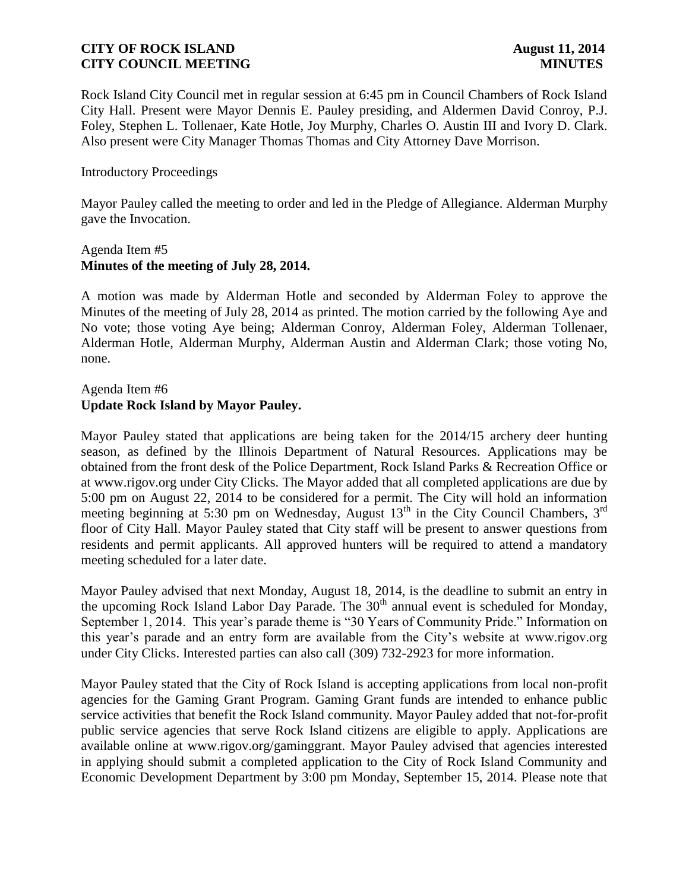Rock Island City Council met in regular session at 6:45 pm in Council Chambers of Rock Island City Hall. Present were Mayor Dennis E. Pauley presiding, and Aldermen David Conroy, P.J. Foley, Stephen L. Tollenaer, Kate Hotle, Joy Murphy, Charles O. Austin III and Ivory D. Clark. Also present were City Manager Thomas Thomas and City Attorney Dave Morrison.

#### Introductory Proceedings

Mayor Pauley called the meeting to order and led in the Pledge of Allegiance. Alderman Murphy gave the Invocation.

#### Agenda Item #5 **Minutes of the meeting of July 28, 2014.**

A motion was made by Alderman Hotle and seconded by Alderman Foley to approve the Minutes of the meeting of July 28, 2014 as printed. The motion carried by the following Aye and No vote; those voting Aye being; Alderman Conroy, Alderman Foley, Alderman Tollenaer, Alderman Hotle, Alderman Murphy, Alderman Austin and Alderman Clark; those voting No, none.

### Agenda Item #6 **Update Rock Island by Mayor Pauley.**

Mayor Pauley stated that applications are being taken for the 2014/15 archery deer hunting season, as defined by the Illinois Department of Natural Resources. Applications may be obtained from the front desk of the Police Department, Rock Island Parks & Recreation Office or at www.rigov.org under City Clicks. The Mayor added that all completed applications are due by 5:00 pm on August 22, 2014 to be considered for a permit. The City will hold an information meeting beginning at 5:30 pm on Wednesday, August  $13<sup>th</sup>$  in the City Council Chambers,  $3<sup>rd</sup>$ floor of City Hall. Mayor Pauley stated that City staff will be present to answer questions from residents and permit applicants. All approved hunters will be required to attend a mandatory meeting scheduled for a later date.

Mayor Pauley advised that next Monday, August 18, 2014, is the deadline to submit an entry in the upcoming Rock Island Labor Day Parade. The  $30<sup>th</sup>$  annual event is scheduled for Monday, September 1, 2014. This year's parade theme is "30 Years of Community Pride." Information on this year's parade and an entry form are available from the City's website at www.rigov.org under City Clicks. Interested parties can also call (309) 732-2923 for more information.

Mayor Pauley stated that the City of Rock Island is accepting applications from local non-profit agencies for the Gaming Grant Program. Gaming Grant funds are intended to enhance public service activities that benefit the Rock Island community. Mayor Pauley added that not-for-profit public service agencies that serve Rock Island citizens are eligible to apply. Applications are available online at www.rigov.org/gaminggrant. Mayor Pauley advised that agencies interested in applying should submit a completed application to the City of Rock Island Community and Economic Development Department by 3:00 pm Monday, September 15, 2014. Please note that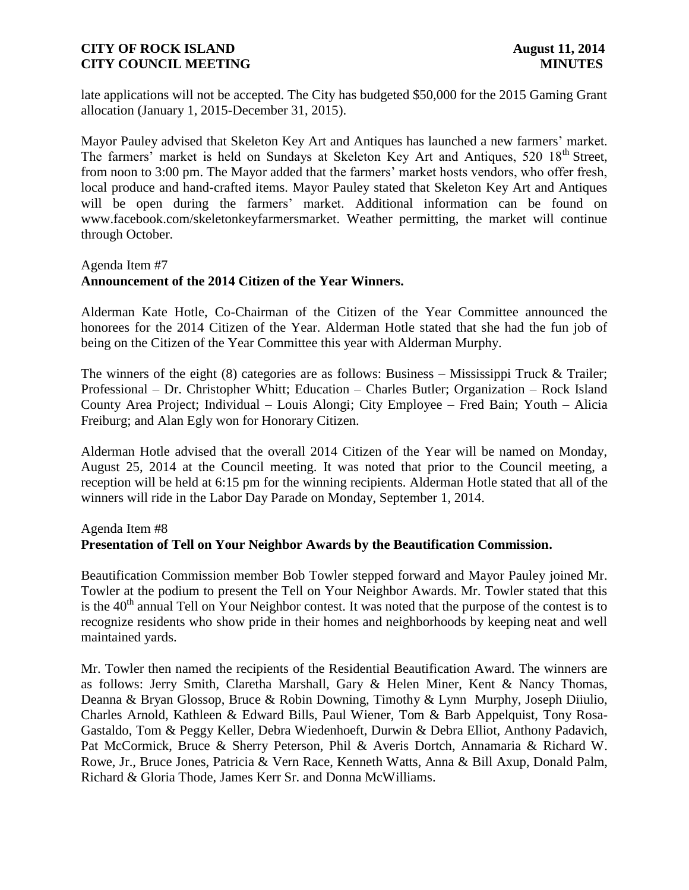late applications will not be accepted. The City has budgeted \$50,000 for the 2015 Gaming Grant allocation (January 1, 2015-December 31, 2015).

Mayor Pauley advised that Skeleton Key Art and Antiques has launched a new farmers' market. The farmers' market is held on Sundays at Skeleton Key Art and Antiques, 520 18<sup>th</sup> Street, from noon to 3:00 pm. The Mayor added that the farmers' market hosts vendors, who offer fresh, local produce and hand-crafted items. Mayor Pauley stated that Skeleton Key Art and Antiques will be open during the farmers' market. Additional information can be found on www.facebook.com/skeletonkeyfarmersmarket. Weather permitting, the market will continue through October.

#### Agenda Item #7

## **Announcement of the 2014 Citizen of the Year Winners.**

Alderman Kate Hotle, Co-Chairman of the Citizen of the Year Committee announced the honorees for the 2014 Citizen of the Year. Alderman Hotle stated that she had the fun job of being on the Citizen of the Year Committee this year with Alderman Murphy.

The winners of the eight (8) categories are as follows: Business – Mississippi Truck & Trailer; Professional – Dr. Christopher Whitt; Education – Charles Butler; Organization – Rock Island County Area Project; Individual – Louis Alongi; City Employee – Fred Bain; Youth – Alicia Freiburg; and Alan Egly won for Honorary Citizen.

Alderman Hotle advised that the overall 2014 Citizen of the Year will be named on Monday, August 25, 2014 at the Council meeting. It was noted that prior to the Council meeting, a reception will be held at 6:15 pm for the winning recipients. Alderman Hotle stated that all of the winners will ride in the Labor Day Parade on Monday, September 1, 2014.

#### Agenda Item #8

#### **Presentation of Tell on Your Neighbor Awards by the Beautification Commission.**

Beautification Commission member Bob Towler stepped forward and Mayor Pauley joined Mr. Towler at the podium to present the Tell on Your Neighbor Awards. Mr. Towler stated that this is the  $40<sup>th</sup>$  annual Tell on Your Neighbor contest. It was noted that the purpose of the contest is to recognize residents who show pride in their homes and neighborhoods by keeping neat and well maintained yards.

Mr. Towler then named the recipients of the Residential Beautification Award. The winners are as follows: Jerry Smith, Claretha Marshall, Gary & Helen Miner, Kent & Nancy Thomas, Deanna & Bryan Glossop, Bruce & Robin Downing, Timothy & Lynn Murphy, Joseph Diiulio, Charles Arnold, Kathleen & Edward Bills, Paul Wiener, Tom & Barb Appelquist, Tony Rosa-Gastaldo, Tom & Peggy Keller, Debra Wiedenhoeft, Durwin & Debra Elliot, Anthony Padavich, Pat McCormick, Bruce & Sherry Peterson, Phil & Averis Dortch, Annamaria & Richard W. Rowe, Jr., Bruce Jones, Patricia & Vern Race, Kenneth Watts, Anna & Bill Axup, Donald Palm, Richard & Gloria Thode, James Kerr Sr. and Donna McWilliams.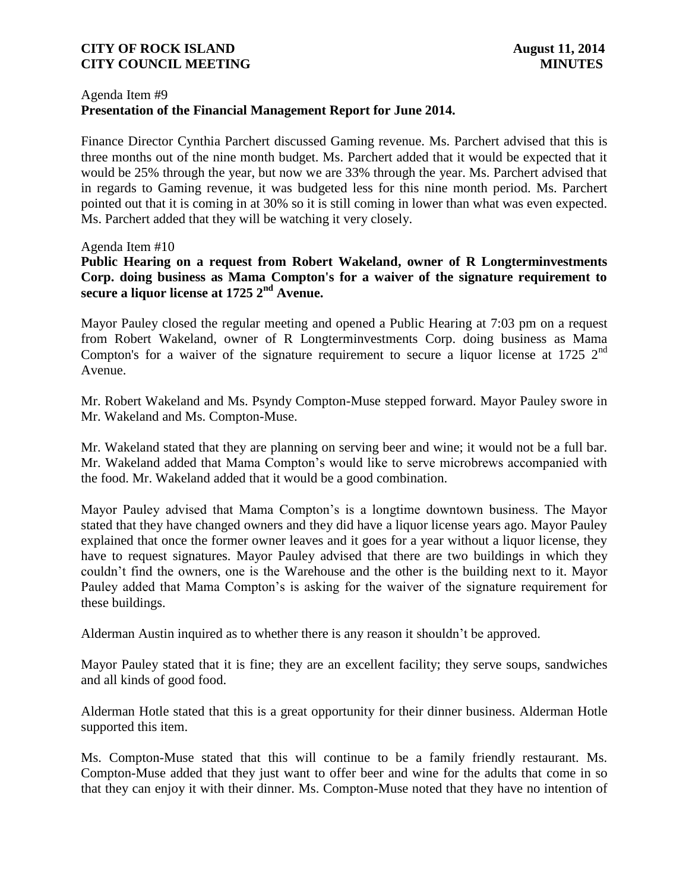### Agenda Item #9 **Presentation of the Financial Management Report for June 2014.**

Finance Director Cynthia Parchert discussed Gaming revenue. Ms. Parchert advised that this is three months out of the nine month budget. Ms. Parchert added that it would be expected that it would be 25% through the year, but now we are 33% through the year. Ms. Parchert advised that in regards to Gaming revenue, it was budgeted less for this nine month period. Ms. Parchert pointed out that it is coming in at 30% so it is still coming in lower than what was even expected. Ms. Parchert added that they will be watching it very closely.

#### Agenda Item #10

**Public Hearing on a request from Robert Wakeland, owner of R Longterminvestments Corp. doing business as Mama Compton's for a waiver of the signature requirement to secure a liquor license at 1725 2nd Avenue.**

Mayor Pauley closed the regular meeting and opened a Public Hearing at 7:03 pm on a request from Robert Wakeland, owner of R Longterminvestments Corp. doing business as Mama Compton's for a waiver of the signature requirement to secure a liquor license at 1725  $2<sup>nd</sup>$ Avenue.

Mr. Robert Wakeland and Ms. Psyndy Compton-Muse stepped forward. Mayor Pauley swore in Mr. Wakeland and Ms. Compton-Muse.

Mr. Wakeland stated that they are planning on serving beer and wine; it would not be a full bar. Mr. Wakeland added that Mama Compton's would like to serve microbrews accompanied with the food. Mr. Wakeland added that it would be a good combination.

Mayor Pauley advised that Mama Compton's is a longtime downtown business. The Mayor stated that they have changed owners and they did have a liquor license years ago. Mayor Pauley explained that once the former owner leaves and it goes for a year without a liquor license, they have to request signatures. Mayor Pauley advised that there are two buildings in which they couldn't find the owners, one is the Warehouse and the other is the building next to it. Mayor Pauley added that Mama Compton's is asking for the waiver of the signature requirement for these buildings.

Alderman Austin inquired as to whether there is any reason it shouldn't be approved.

Mayor Pauley stated that it is fine; they are an excellent facility; they serve soups, sandwiches and all kinds of good food.

Alderman Hotle stated that this is a great opportunity for their dinner business. Alderman Hotle supported this item.

Ms. Compton-Muse stated that this will continue to be a family friendly restaurant. Ms. Compton-Muse added that they just want to offer beer and wine for the adults that come in so that they can enjoy it with their dinner. Ms. Compton-Muse noted that they have no intention of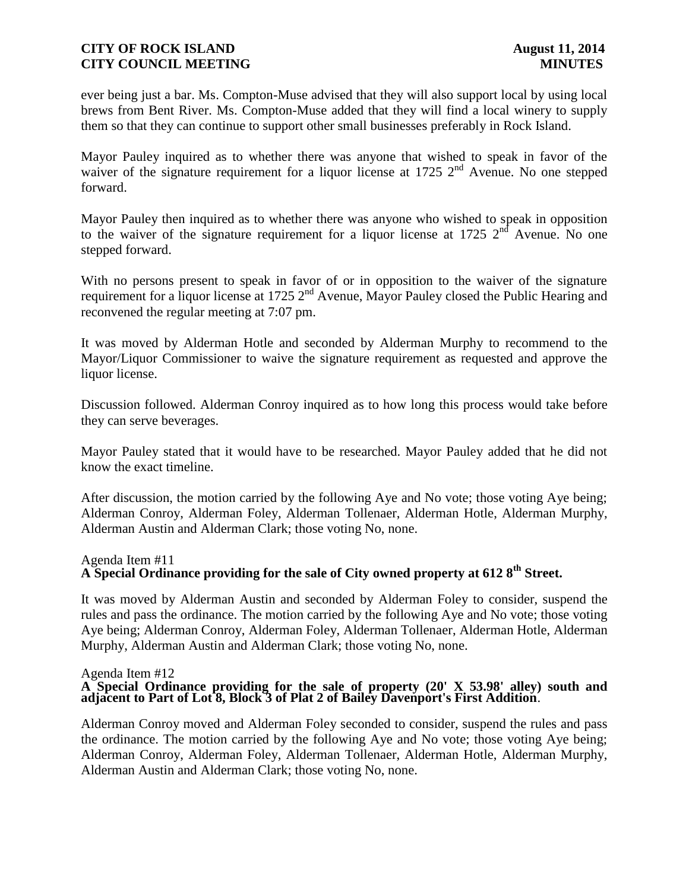ever being just a bar. Ms. Compton-Muse advised that they will also support local by using local brews from Bent River. Ms. Compton-Muse added that they will find a local winery to supply them so that they can continue to support other small businesses preferably in Rock Island.

Mayor Pauley inquired as to whether there was anyone that wished to speak in favor of the waiver of the signature requirement for a liquor license at  $1725$   $2<sup>nd</sup>$  Avenue. No one stepped forward.

Mayor Pauley then inquired as to whether there was anyone who wished to speak in opposition to the waiver of the signature requirement for a liquor license at 1725  $2<sup>nd</sup>$  Avenue. No one stepped forward.

With no persons present to speak in favor of or in opposition to the waiver of the signature requirement for a liquor license at 1725 2<sup>nd</sup> Avenue, Mayor Pauley closed the Public Hearing and reconvened the regular meeting at 7:07 pm.

It was moved by Alderman Hotle and seconded by Alderman Murphy to recommend to the Mayor/Liquor Commissioner to waive the signature requirement as requested and approve the liquor license.

Discussion followed. Alderman Conroy inquired as to how long this process would take before they can serve beverages.

Mayor Pauley stated that it would have to be researched. Mayor Pauley added that he did not know the exact timeline.

After discussion, the motion carried by the following Aye and No vote; those voting Aye being; Alderman Conroy, Alderman Foley, Alderman Tollenaer, Alderman Hotle, Alderman Murphy, Alderman Austin and Alderman Clark; those voting No, none.

#### Agenda Item #11

# **A Special Ordinance providing for the sale of City owned property at 612 8th Street.**

It was moved by Alderman Austin and seconded by Alderman Foley to consider, suspend the rules and pass the ordinance. The motion carried by the following Aye and No vote; those voting Aye being; Alderman Conroy, Alderman Foley, Alderman Tollenaer, Alderman Hotle, Alderman Murphy, Alderman Austin and Alderman Clark; those voting No, none.

#### Agenda Item #12

#### **A Special Ordinance providing for the sale of property (20' X 53.98' alley) south and adjacent to Part of Lot 8, Block 3 of Plat 2 of Bailey Davenport's First Addition**.

Alderman Conroy moved and Alderman Foley seconded to consider, suspend the rules and pass the ordinance. The motion carried by the following Aye and No vote; those voting Aye being; Alderman Conroy, Alderman Foley, Alderman Tollenaer, Alderman Hotle, Alderman Murphy, Alderman Austin and Alderman Clark; those voting No, none.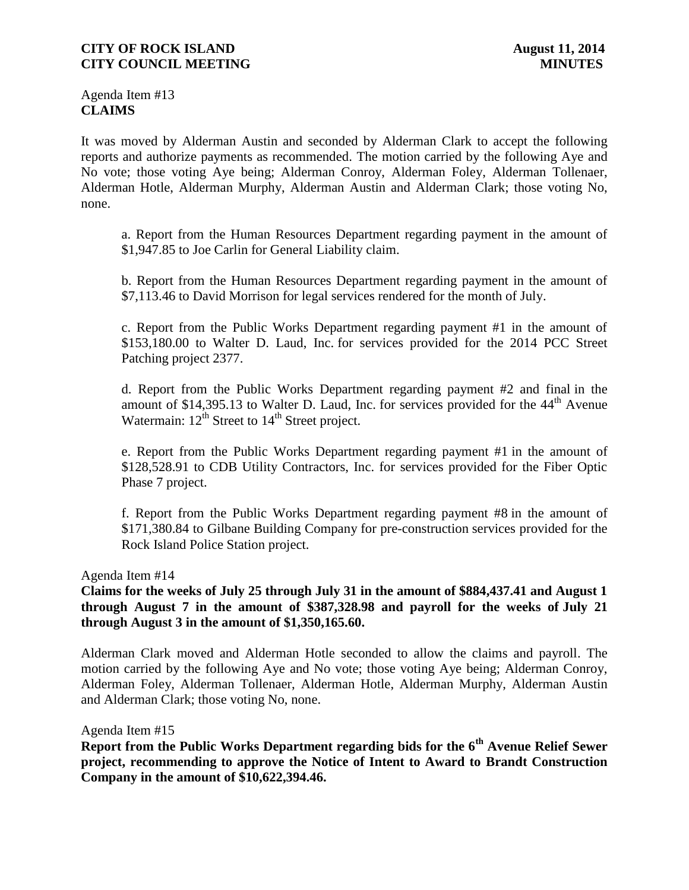Agenda Item #13 **CLAIMS**

It was moved by Alderman Austin and seconded by Alderman Clark to accept the following reports and authorize payments as recommended. The motion carried by the following Aye and No vote; those voting Aye being; Alderman Conroy, Alderman Foley, Alderman Tollenaer, Alderman Hotle, Alderman Murphy, Alderman Austin and Alderman Clark; those voting No, none.

a. Report from the Human Resources Department regarding payment in the amount of \$1,947.85 to Joe Carlin for General Liability claim.

b. Report from the Human Resources Department regarding payment in the amount of \$7,113.46 to David Morrison for legal services rendered for the month of July.

c. Report from the Public Works Department regarding payment #1 in the amount of \$153,180.00 to Walter D. Laud, Inc. for services provided for the 2014 PCC Street Patching project 2377.

d. Report from the Public Works Department regarding payment #2 and final in the amount of \$14,395.13 to Walter D. Laud, Inc. for services provided for the  $44<sup>th</sup>$  Avenue Watermain:  $12^{th}$  Street to  $14^{th}$  Street project.

e. Report from the Public Works Department regarding payment #1 in the amount of \$128,528.91 to CDB Utility Contractors, Inc. for services provided for the Fiber Optic Phase 7 project.

f. Report from the Public Works Department regarding payment #8 in the amount of \$171,380.84 to Gilbane Building Company for pre-construction services provided for the Rock Island Police Station project.

Agenda Item #14

**Claims for the weeks of July 25 through July 31 in the amount of \$884,437.41 and August 1 through August 7 in the amount of \$387,328.98 and payroll for the weeks of July 21 through August 3 in the amount of \$1,350,165.60.**

Alderman Clark moved and Alderman Hotle seconded to allow the claims and payroll. The motion carried by the following Aye and No vote; those voting Aye being; Alderman Conroy, Alderman Foley, Alderman Tollenaer, Alderman Hotle, Alderman Murphy, Alderman Austin and Alderman Clark; those voting No, none.

Agenda Item #15

**Report from the Public Works Department regarding bids for the 6th Avenue Relief Sewer project, recommending to approve the Notice of Intent to Award to Brandt Construction Company in the amount of \$10,622,394.46.**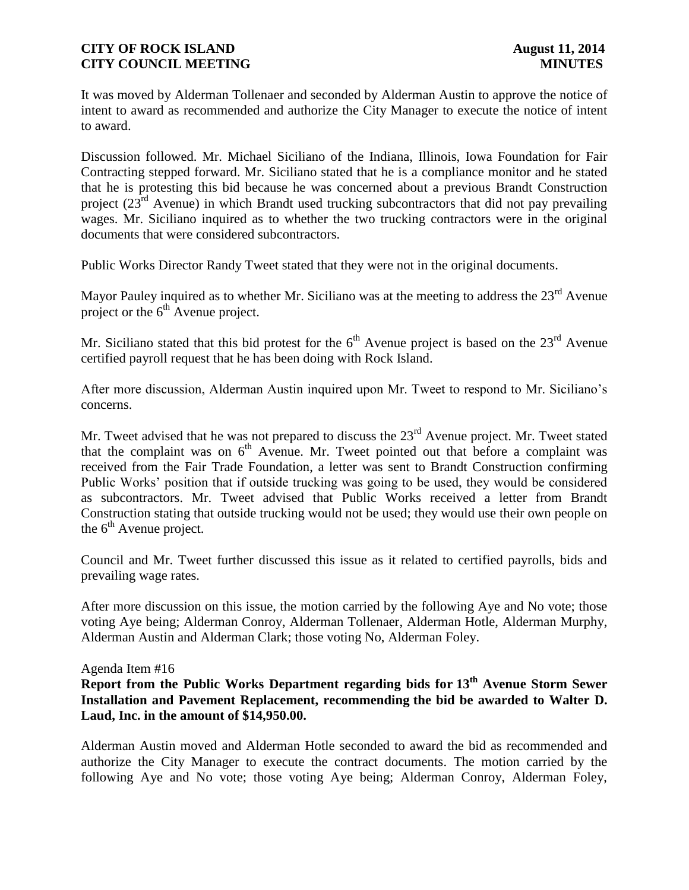It was moved by Alderman Tollenaer and seconded by Alderman Austin to approve the notice of intent to award as recommended and authorize the City Manager to execute the notice of intent to award.

Discussion followed. Mr. Michael Siciliano of the Indiana, Illinois, Iowa Foundation for Fair Contracting stepped forward. Mr. Siciliano stated that he is a compliance monitor and he stated that he is protesting this bid because he was concerned about a previous Brandt Construction project  $(23<sup>rd</sup>$  Avenue) in which Brandt used trucking subcontractors that did not pay prevailing wages. Mr. Siciliano inquired as to whether the two trucking contractors were in the original documents that were considered subcontractors.

Public Works Director Randy Tweet stated that they were not in the original documents.

Mayor Pauley inquired as to whether Mr. Siciliano was at the meeting to address the  $23<sup>rd</sup>$  Avenue project or the  $6<sup>th</sup>$  Avenue project.

Mr. Siciliano stated that this bid protest for the  $6<sup>th</sup>$  Avenue project is based on the  $23<sup>rd</sup>$  Avenue certified payroll request that he has been doing with Rock Island.

After more discussion, Alderman Austin inquired upon Mr. Tweet to respond to Mr. Siciliano's concerns.

Mr. Tweet advised that he was not prepared to discuss the  $23<sup>rd</sup>$  Avenue project. Mr. Tweet stated that the complaint was on  $6<sup>th</sup>$  Avenue. Mr. Tweet pointed out that before a complaint was received from the Fair Trade Foundation, a letter was sent to Brandt Construction confirming Public Works' position that if outside trucking was going to be used, they would be considered as subcontractors. Mr. Tweet advised that Public Works received a letter from Brandt Construction stating that outside trucking would not be used; they would use their own people on the  $6<sup>th</sup>$  Avenue project.

Council and Mr. Tweet further discussed this issue as it related to certified payrolls, bids and prevailing wage rates.

After more discussion on this issue, the motion carried by the following Aye and No vote; those voting Aye being; Alderman Conroy, Alderman Tollenaer, Alderman Hotle, Alderman Murphy, Alderman Austin and Alderman Clark; those voting No, Alderman Foley.

#### Agenda Item #16

**Report from the Public Works Department regarding bids for 13th Avenue Storm Sewer Installation and Pavement Replacement, recommending the bid be awarded to Walter D. Laud, Inc. in the amount of \$14,950.00.** 

Alderman Austin moved and Alderman Hotle seconded to award the bid as recommended and authorize the City Manager to execute the contract documents. The motion carried by the following Aye and No vote; those voting Aye being; Alderman Conroy, Alderman Foley,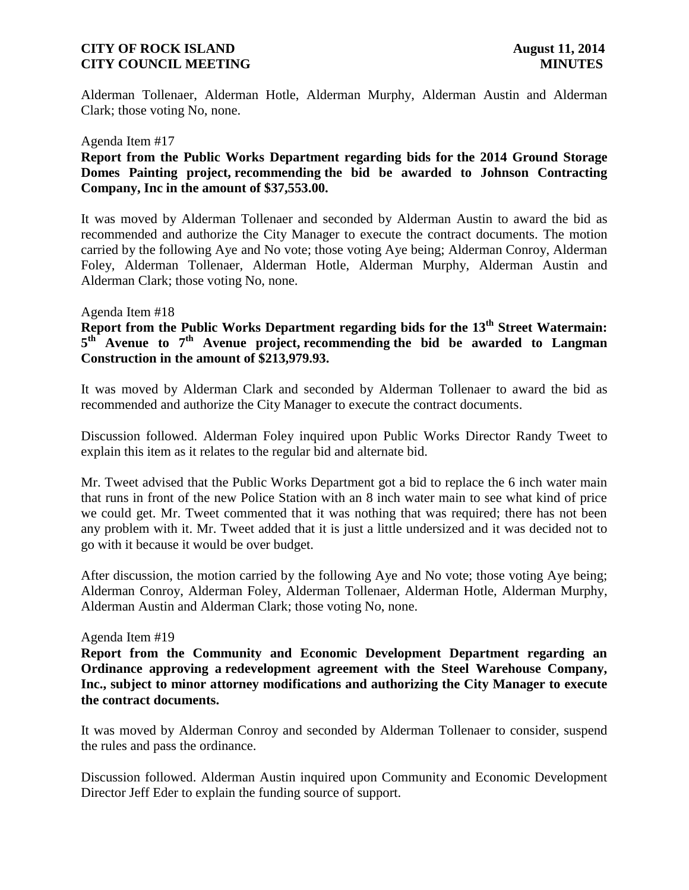Alderman Tollenaer, Alderman Hotle, Alderman Murphy, Alderman Austin and Alderman Clark; those voting No, none.

#### Agenda Item #17

### **Report from the Public Works Department regarding bids for the 2014 Ground Storage Domes Painting project, recommending the bid be awarded to Johnson Contracting Company, Inc in the amount of \$37,553.00.**

It was moved by Alderman Tollenaer and seconded by Alderman Austin to award the bid as recommended and authorize the City Manager to execute the contract documents. The motion carried by the following Aye and No vote; those voting Aye being; Alderman Conroy, Alderman Foley, Alderman Tollenaer, Alderman Hotle, Alderman Murphy, Alderman Austin and Alderman Clark; those voting No, none.

#### Agenda Item #18

# **Report from the Public Works Department regarding bids for the 13th Street Watermain: 5 th Avenue to 7th Avenue project, recommending the bid be awarded to Langman Construction in the amount of \$213,979.93.**

It was moved by Alderman Clark and seconded by Alderman Tollenaer to award the bid as recommended and authorize the City Manager to execute the contract documents.

Discussion followed. Alderman Foley inquired upon Public Works Director Randy Tweet to explain this item as it relates to the regular bid and alternate bid.

Mr. Tweet advised that the Public Works Department got a bid to replace the 6 inch water main that runs in front of the new Police Station with an 8 inch water main to see what kind of price we could get. Mr. Tweet commented that it was nothing that was required; there has not been any problem with it. Mr. Tweet added that it is just a little undersized and it was decided not to go with it because it would be over budget.

After discussion, the motion carried by the following Aye and No vote; those voting Aye being; Alderman Conroy, Alderman Foley, Alderman Tollenaer, Alderman Hotle, Alderman Murphy, Alderman Austin and Alderman Clark; those voting No, none.

#### Agenda Item #19

**Report from the Community and Economic Development Department regarding an Ordinance approving a redevelopment agreement with the Steel Warehouse Company, Inc., subject to minor attorney modifications and authorizing the City Manager to execute the contract documents.** 

It was moved by Alderman Conroy and seconded by Alderman Tollenaer to consider, suspend the rules and pass the ordinance.

Discussion followed. Alderman Austin inquired upon Community and Economic Development Director Jeff Eder to explain the funding source of support.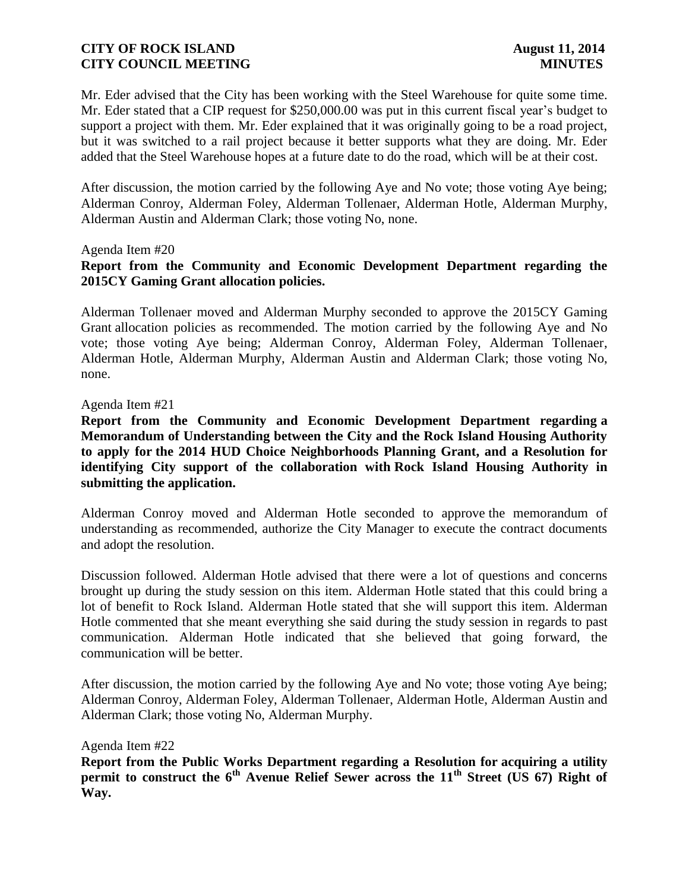Mr. Eder advised that the City has been working with the Steel Warehouse for quite some time. Mr. Eder stated that a CIP request for \$250,000.00 was put in this current fiscal year's budget to support a project with them. Mr. Eder explained that it was originally going to be a road project, but it was switched to a rail project because it better supports what they are doing. Mr. Eder added that the Steel Warehouse hopes at a future date to do the road, which will be at their cost.

After discussion, the motion carried by the following Aye and No vote; those voting Aye being; Alderman Conroy, Alderman Foley, Alderman Tollenaer, Alderman Hotle, Alderman Murphy, Alderman Austin and Alderman Clark; those voting No, none.

#### Agenda Item #20

# **Report from the Community and Economic Development Department regarding the 2015CY Gaming Grant allocation policies.**

Alderman Tollenaer moved and Alderman Murphy seconded to approve the 2015CY Gaming Grant allocation policies as recommended. The motion carried by the following Aye and No vote; those voting Aye being; Alderman Conroy, Alderman Foley, Alderman Tollenaer, Alderman Hotle, Alderman Murphy, Alderman Austin and Alderman Clark; those voting No, none.

#### Agenda Item #21

**Report from the Community and Economic Development Department regarding a Memorandum of Understanding between the City and the Rock Island Housing Authority to apply for the 2014 HUD Choice Neighborhoods Planning Grant, and a Resolution for identifying City support of the collaboration with Rock Island Housing Authority in submitting the application.**

Alderman Conroy moved and Alderman Hotle seconded to approve the memorandum of understanding as recommended, authorize the City Manager to execute the contract documents and adopt the resolution.

Discussion followed. Alderman Hotle advised that there were a lot of questions and concerns brought up during the study session on this item. Alderman Hotle stated that this could bring a lot of benefit to Rock Island. Alderman Hotle stated that she will support this item. Alderman Hotle commented that she meant everything she said during the study session in regards to past communication. Alderman Hotle indicated that she believed that going forward, the communication will be better.

After discussion, the motion carried by the following Aye and No vote; those voting Aye being; Alderman Conroy, Alderman Foley, Alderman Tollenaer, Alderman Hotle, Alderman Austin and Alderman Clark; those voting No, Alderman Murphy.

Agenda Item #22

**Report from the Public Works Department regarding a Resolution for acquiring a utility permit to construct the 6th Avenue Relief Sewer across the 11th Street (US 67) Right of Way.**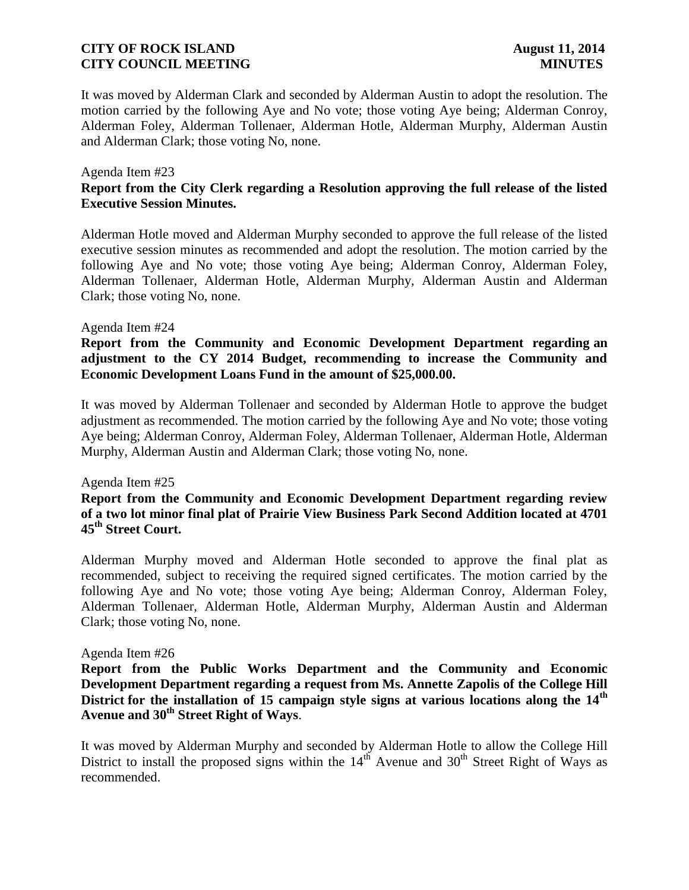It was moved by Alderman Clark and seconded by Alderman Austin to adopt the resolution. The motion carried by the following Aye and No vote; those voting Aye being; Alderman Conroy, Alderman Foley, Alderman Tollenaer, Alderman Hotle, Alderman Murphy, Alderman Austin and Alderman Clark; those voting No, none.

#### Agenda Item #23 **Report from the City Clerk regarding a Resolution approving the full release of the listed Executive Session Minutes.**

Alderman Hotle moved and Alderman Murphy seconded to approve the full release of the listed executive session minutes as recommended and adopt the resolution. The motion carried by the following Aye and No vote; those voting Aye being; Alderman Conroy, Alderman Foley, Alderman Tollenaer, Alderman Hotle, Alderman Murphy, Alderman Austin and Alderman Clark; those voting No, none.

#### Agenda Item #24

**Report from the Community and Economic Development Department regarding an adjustment to the CY 2014 Budget, recommending to increase the Community and Economic Development Loans Fund in the amount of \$25,000.00.**

It was moved by Alderman Tollenaer and seconded by Alderman Hotle to approve the budget adjustment as recommended. The motion carried by the following Aye and No vote; those voting Aye being; Alderman Conroy, Alderman Foley, Alderman Tollenaer, Alderman Hotle, Alderman Murphy, Alderman Austin and Alderman Clark; those voting No, none.

#### Agenda Item #25

#### **Report from the Community and Economic Development Department regarding review of a two lot minor final plat of Prairie View Business Park Second Addition located at 4701 45th Street Court.**

Alderman Murphy moved and Alderman Hotle seconded to approve the final plat as recommended, subject to receiving the required signed certificates. The motion carried by the following Aye and No vote; those voting Aye being; Alderman Conroy, Alderman Foley, Alderman Tollenaer, Alderman Hotle, Alderman Murphy, Alderman Austin and Alderman Clark; those voting No, none.

#### Agenda Item #26

**Report from the Public Works Department and the Community and Economic Development Department regarding a request from Ms. Annette Zapolis of the College Hill District for the installation of 15 campaign style signs at various locations along the 14th Avenue and 30th Street Right of Ways**.

It was moved by Alderman Murphy and seconded by Alderman Hotle to allow the College Hill District to install the proposed signs within the  $14<sup>th</sup>$  Avenue and  $30<sup>th</sup>$  Street Right of Ways as recommended.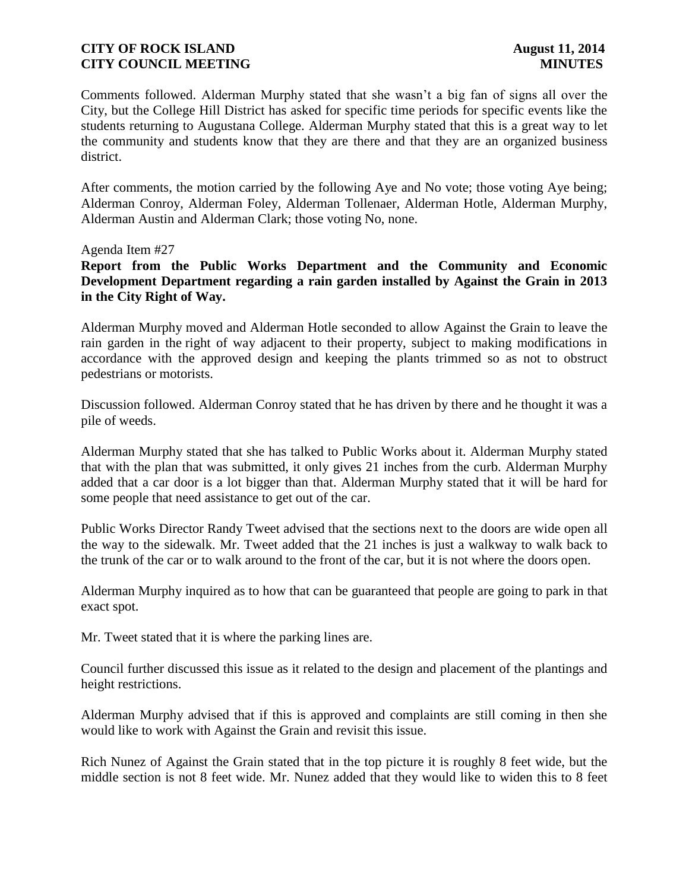Comments followed. Alderman Murphy stated that she wasn't a big fan of signs all over the City, but the College Hill District has asked for specific time periods for specific events like the students returning to Augustana College. Alderman Murphy stated that this is a great way to let the community and students know that they are there and that they are an organized business district.

After comments, the motion carried by the following Aye and No vote; those voting Aye being; Alderman Conroy, Alderman Foley, Alderman Tollenaer, Alderman Hotle, Alderman Murphy, Alderman Austin and Alderman Clark; those voting No, none.

Agenda Item #27

**Report from the Public Works Department and the Community and Economic Development Department regarding a rain garden installed by Against the Grain in 2013 in the City Right of Way.**

Alderman Murphy moved and Alderman Hotle seconded to allow Against the Grain to leave the rain garden in the right of way adjacent to their property, subject to making modifications in accordance with the approved design and keeping the plants trimmed so as not to obstruct pedestrians or motorists.

Discussion followed. Alderman Conroy stated that he has driven by there and he thought it was a pile of weeds.

Alderman Murphy stated that she has talked to Public Works about it. Alderman Murphy stated that with the plan that was submitted, it only gives 21 inches from the curb. Alderman Murphy added that a car door is a lot bigger than that. Alderman Murphy stated that it will be hard for some people that need assistance to get out of the car.

Public Works Director Randy Tweet advised that the sections next to the doors are wide open all the way to the sidewalk. Mr. Tweet added that the 21 inches is just a walkway to walk back to the trunk of the car or to walk around to the front of the car, but it is not where the doors open.

Alderman Murphy inquired as to how that can be guaranteed that people are going to park in that exact spot.

Mr. Tweet stated that it is where the parking lines are.

Council further discussed this issue as it related to the design and placement of the plantings and height restrictions.

Alderman Murphy advised that if this is approved and complaints are still coming in then she would like to work with Against the Grain and revisit this issue.

Rich Nunez of Against the Grain stated that in the top picture it is roughly 8 feet wide, but the middle section is not 8 feet wide. Mr. Nunez added that they would like to widen this to 8 feet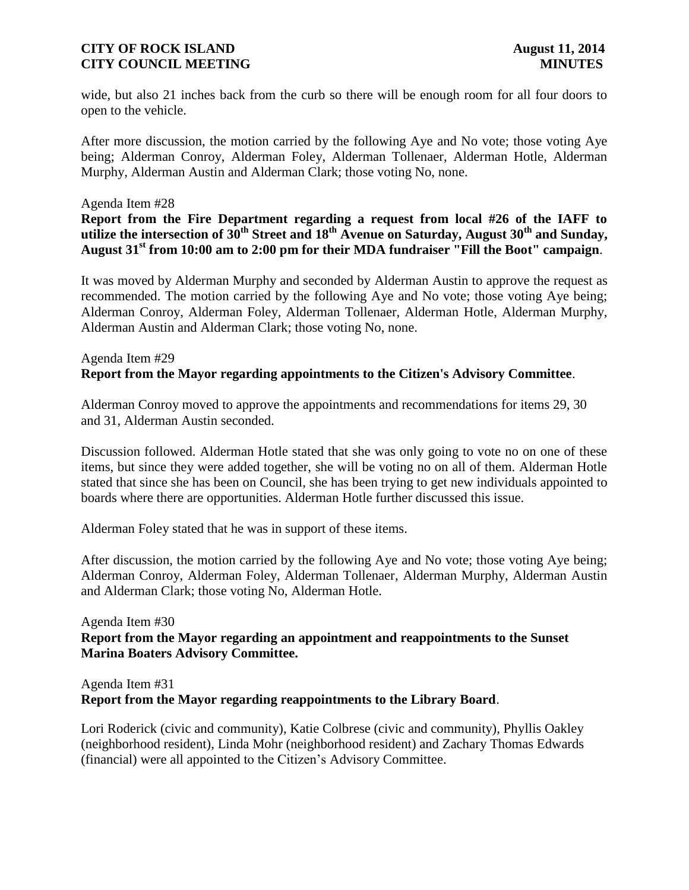wide, but also 21 inches back from the curb so there will be enough room for all four doors to open to the vehicle.

After more discussion, the motion carried by the following Aye and No vote; those voting Aye being; Alderman Conroy, Alderman Foley, Alderman Tollenaer, Alderman Hotle, Alderman Murphy, Alderman Austin and Alderman Clark; those voting No, none.

#### Agenda Item #28

**Report from the Fire Department regarding a request from local #26 of the IAFF to utilize the intersection of 30th Street and 18th Avenue on Saturday, August 30th and Sunday, August 31st from 10:00 am to 2:00 pm for their MDA fundraiser "Fill the Boot" campaign**.

It was moved by Alderman Murphy and seconded by Alderman Austin to approve the request as recommended. The motion carried by the following Aye and No vote; those voting Aye being; Alderman Conroy, Alderman Foley, Alderman Tollenaer, Alderman Hotle, Alderman Murphy, Alderman Austin and Alderman Clark; those voting No, none.

### Agenda Item #29 **Report from the Mayor regarding appointments to the Citizen's Advisory Committee**.

Alderman Conroy moved to approve the appointments and recommendations for items 29, 30 and 31, Alderman Austin seconded.

Discussion followed. Alderman Hotle stated that she was only going to vote no on one of these items, but since they were added together, she will be voting no on all of them. Alderman Hotle stated that since she has been on Council, she has been trying to get new individuals appointed to boards where there are opportunities. Alderman Hotle further discussed this issue.

Alderman Foley stated that he was in support of these items.

After discussion, the motion carried by the following Aye and No vote; those voting Aye being; Alderman Conroy, Alderman Foley, Alderman Tollenaer, Alderman Murphy, Alderman Austin and Alderman Clark; those voting No, Alderman Hotle.

# Agenda Item #30 **Report from the Mayor regarding an appointment and reappointments to the Sunset Marina Boaters Advisory Committee.**

# Agenda Item #31 **Report from the Mayor regarding reappointments to the Library Board**.

Lori Roderick (civic and community), Katie Colbrese (civic and community), Phyllis Oakley (neighborhood resident), Linda Mohr (neighborhood resident) and Zachary Thomas Edwards (financial) were all appointed to the Citizen's Advisory Committee.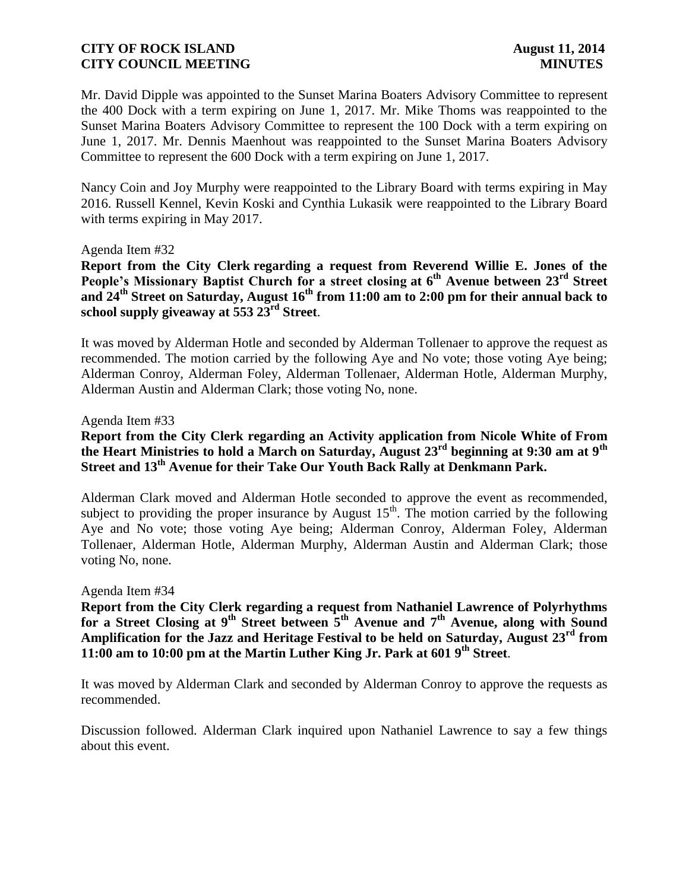Mr. David Dipple was appointed to the Sunset Marina Boaters Advisory Committee to represent the 400 Dock with a term expiring on June 1, 2017. Mr. Mike Thoms was reappointed to the Sunset Marina Boaters Advisory Committee to represent the 100 Dock with a term expiring on June 1, 2017. Mr. Dennis Maenhout was reappointed to the Sunset Marina Boaters Advisory Committee to represent the 600 Dock with a term expiring on June 1, 2017.

Nancy Coin and Joy Murphy were reappointed to the Library Board with terms expiring in May 2016. Russell Kennel, Kevin Koski and Cynthia Lukasik were reappointed to the Library Board with terms expiring in May 2017.

#### Agenda Item #32

**Report from the City Clerk regarding a request from Reverend Willie E. Jones of the People's Missionary Baptist Church for a street closing at 6th Avenue between 23rd Street and 24th Street on Saturday, August 16th from 11:00 am to 2:00 pm for their annual back to school supply giveaway at 553 23rd Street**.

It was moved by Alderman Hotle and seconded by Alderman Tollenaer to approve the request as recommended. The motion carried by the following Aye and No vote; those voting Aye being; Alderman Conroy, Alderman Foley, Alderman Tollenaer, Alderman Hotle, Alderman Murphy, Alderman Austin and Alderman Clark; those voting No, none.

#### Agenda Item #33

### **Report from the City Clerk regarding an Activity application from Nicole White of From the Heart Ministries to hold a March on Saturday, August 23rd beginning at 9:30 am at 9th Street and 13th Avenue for their Take Our Youth Back Rally at Denkmann Park.**

Alderman Clark moved and Alderman Hotle seconded to approve the event as recommended, subject to providing the proper insurance by August  $15<sup>th</sup>$ . The motion carried by the following Aye and No vote; those voting Aye being; Alderman Conroy, Alderman Foley, Alderman Tollenaer, Alderman Hotle, Alderman Murphy, Alderman Austin and Alderman Clark; those voting No, none.

#### Agenda Item #34

**Report from the City Clerk regarding a request from Nathaniel Lawrence of Polyrhythms for a Street Closing at 9th Street between 5th Avenue and 7th Avenue, along with Sound Amplification for the Jazz and Heritage Festival to be held on Saturday, August 23rd from 11:00 am to 10:00 pm at the Martin Luther King Jr. Park at 601 9th Street**.

It was moved by Alderman Clark and seconded by Alderman Conroy to approve the requests as recommended.

Discussion followed. Alderman Clark inquired upon Nathaniel Lawrence to say a few things about this event.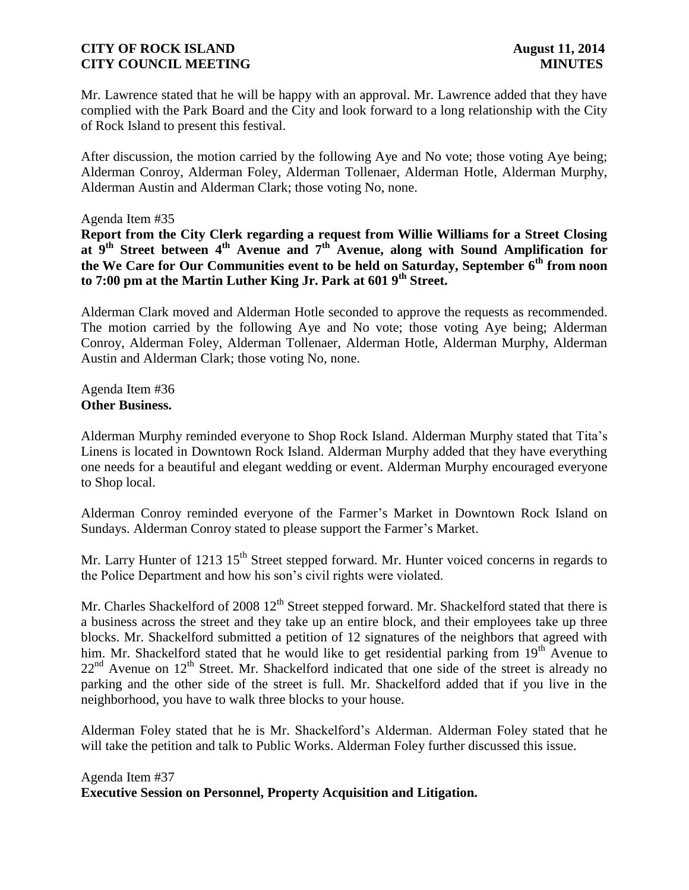Mr. Lawrence stated that he will be happy with an approval. Mr. Lawrence added that they have complied with the Park Board and the City and look forward to a long relationship with the City of Rock Island to present this festival.

After discussion, the motion carried by the following Aye and No vote; those voting Aye being; Alderman Conroy, Alderman Foley, Alderman Tollenaer, Alderman Hotle, Alderman Murphy, Alderman Austin and Alderman Clark; those voting No, none.

#### Agenda Item #35

**Report from the City Clerk regarding a request from Willie Williams for a Street Closing at 9th Street between 4th Avenue and 7th Avenue, along with Sound Amplification for the We Care for Our Communities event to be held on Saturday, September 6th from noon to 7:00 pm at the Martin Luther King Jr. Park at 601 9th Street.**

Alderman Clark moved and Alderman Hotle seconded to approve the requests as recommended. The motion carried by the following Aye and No vote; those voting Aye being; Alderman Conroy, Alderman Foley, Alderman Tollenaer, Alderman Hotle, Alderman Murphy, Alderman Austin and Alderman Clark; those voting No, none.

Agenda Item #36 **Other Business.**

Alderman Murphy reminded everyone to Shop Rock Island. Alderman Murphy stated that Tita's Linens is located in Downtown Rock Island. Alderman Murphy added that they have everything one needs for a beautiful and elegant wedding or event. Alderman Murphy encouraged everyone to Shop local.

Alderman Conroy reminded everyone of the Farmer's Market in Downtown Rock Island on Sundays. Alderman Conroy stated to please support the Farmer's Market.

Mr. Larry Hunter of 1213 15<sup>th</sup> Street stepped forward. Mr. Hunter voiced concerns in regards to the Police Department and how his son's civil rights were violated.

Mr. Charles Shackelford of 2008  $12<sup>th</sup>$  Street stepped forward. Mr. Shackelford stated that there is a business across the street and they take up an entire block, and their employees take up three blocks. Mr. Shackelford submitted a petition of 12 signatures of the neighbors that agreed with him. Mr. Shackelford stated that he would like to get residential parking from 19<sup>th</sup> Avenue to  $22<sup>nd</sup>$  Avenue on  $12<sup>th</sup>$  Street. Mr. Shackelford indicated that one side of the street is already no parking and the other side of the street is full. Mr. Shackelford added that if you live in the neighborhood, you have to walk three blocks to your house.

Alderman Foley stated that he is Mr. Shackelford's Alderman. Alderman Foley stated that he will take the petition and talk to Public Works. Alderman Foley further discussed this issue.

## Agenda Item #37 **Executive Session on Personnel, Property Acquisition and Litigation.**